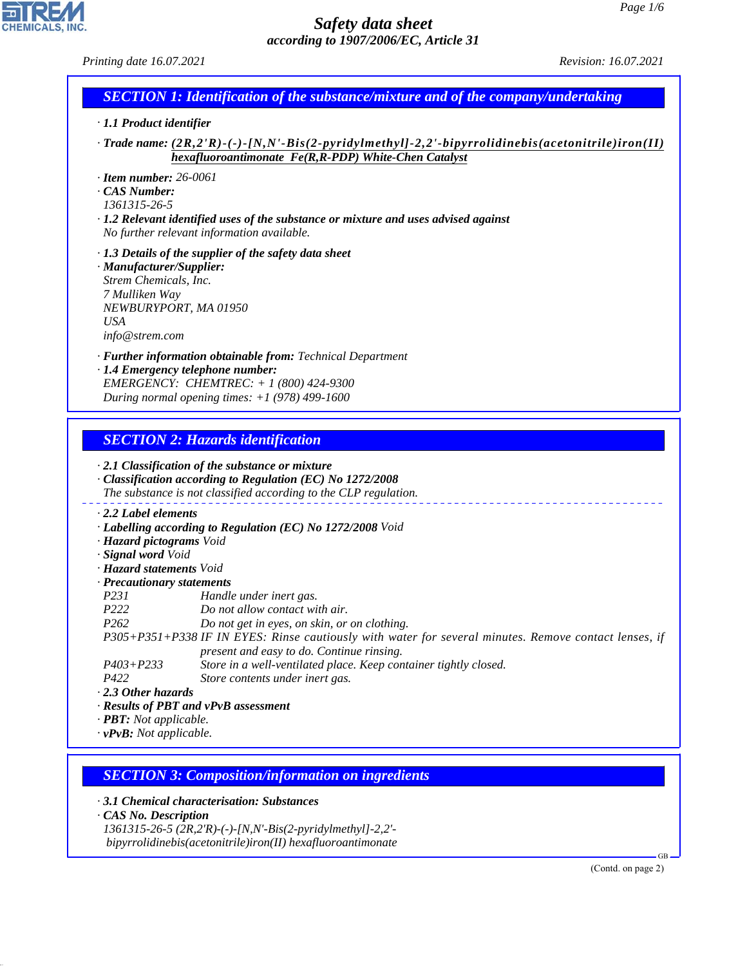| Printing date 16.07.2021                                                                                                                                                                               | <i>Revision: 16.07.2021</i> |
|--------------------------------------------------------------------------------------------------------------------------------------------------------------------------------------------------------|-----------------------------|
| <b>SECTION 1: Identification of the substance/mixture and of the company/undertaking</b>                                                                                                               |                             |
| $\cdot$ 1.1 Product identifier                                                                                                                                                                         |                             |
| $\cdot$ Trade name: $(2R,2'R)\cdot (-)\cdot [N,N'\cdot Bis(2-pyridylmethyl]-2,2'\cdot bipyrrolidinebis(acetonitrile)iron(II)$<br>hexafluoroantimonate Fe(R,R-PDP) White-Chen Catalyst                  |                             |
| $\cdot$ Item number: 26-0061<br>CAS Number:<br>1361315-26-5<br>$\cdot$ 1.2 Relevant identified uses of the substance or mixture and uses advised against<br>No further relevant information available. |                             |
| $\cdot$ 1.3 Details of the supplier of the safety data sheet<br>· Manufacturer/Supplier:<br>Strem Chemicals, Inc.<br>7 Mulliken Way<br>NEWBURYPORT, MA 01950<br>USA<br>info@stream.com                 |                             |
| · Further information obtainable from: Technical Department<br>· 1.4 Emergency telephone number:<br>EMERGENCY: CHEMTREC: + 1 (800) 424-9300<br>During normal opening times: $+1$ (978) 499-1600        |                             |
| <b>SECTION 2: Hazards identification</b>                                                                                                                                                               |                             |

*· 2.1 Classification of the substance or mixture · Classification according to Regulation (EC) No 1272/2008 The substance is not classified according to the CLP regulation. · 2.2 Label elements · Labelling according to Regulation (EC) No 1272/2008 Void · Hazard pictograms Void · Signal word Void · Hazard statements Void · Precautionary statements P231 Handle under inert gas. P222 Do not allow contact with air. P262 Do not get in eyes, on skin, or on clothing. P305+P351+P338 IF IN EYES: Rinse cautiously with water for several minutes. Remove contact lenses, if present and easy to do. Continue rinsing. P403+P233 Store in a well-ventilated place. Keep container tightly closed. P422 Store contents under inert gas. · 2.3 Other hazards · Results of PBT and vPvB assessment · PBT: Not applicable. · vPvB: Not applicable.*

### *SECTION 3: Composition/information on ingredients*

*· 3.1 Chemical characterisation: Substances*

*· CAS No. Description*

44.1.1

*1361315-26-5 (2R,2'R)-(-)-[N,N'-Bis(2-pyridylmethyl]-2,2' bipyrrolidinebis(acetonitrile)iron(II) hexafluoroantimonate*

(Contd. on page 2)

GB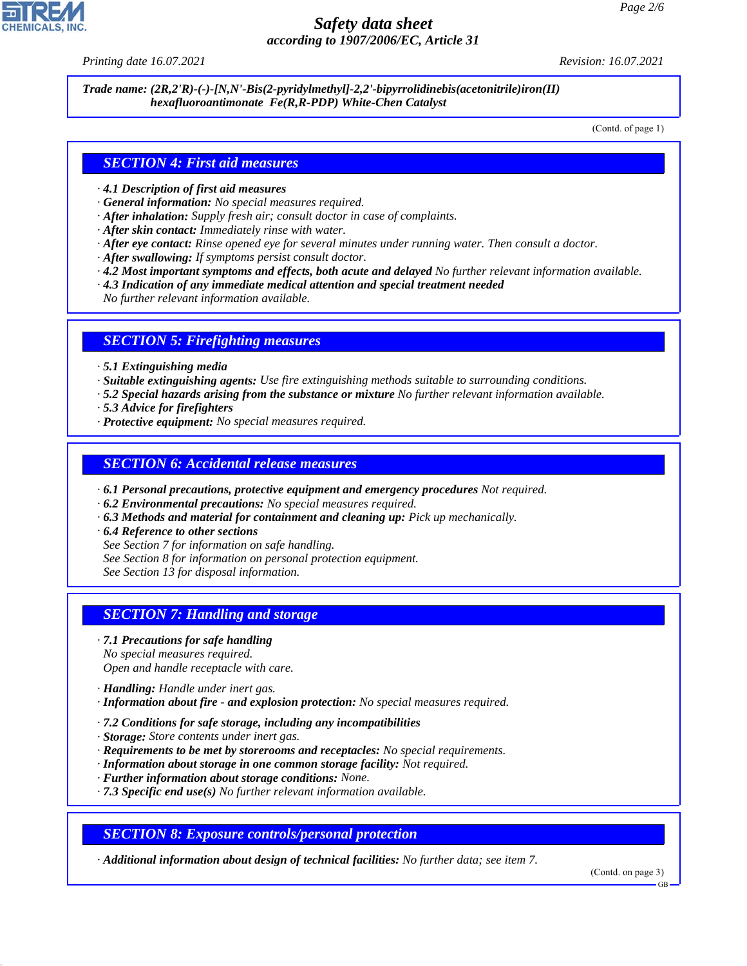*Printing date 16.07.2021 Revision: 16.07.2021*

*Trade name: (2R,2'R)-(-)-[N,N'-Bis(2-pyridylmethyl]-2,2'-bipyrrolidinebis(acetonitrile)iron(II) hexafluoroantimonate Fe(R,R-PDP) White-Chen Catalyst*

(Contd. of page 1)

#### *SECTION 4: First aid measures*

- *· 4.1 Description of first aid measures*
- *· General information: No special measures required.*
- *· After inhalation: Supply fresh air; consult doctor in case of complaints.*
- *· After skin contact: Immediately rinse with water.*
- *· After eye contact: Rinse opened eye for several minutes under running water. Then consult a doctor.*
- *· After swallowing: If symptoms persist consult doctor.*
- *· 4.2 Most important symptoms and effects, both acute and delayed No further relevant information available.*
- *· 4.3 Indication of any immediate medical attention and special treatment needed*
- *No further relevant information available.*

#### *SECTION 5: Firefighting measures*

- *· 5.1 Extinguishing media*
- *· Suitable extinguishing agents: Use fire extinguishing methods suitable to surrounding conditions.*
- *· 5.2 Special hazards arising from the substance or mixture No further relevant information available.*
- *· 5.3 Advice for firefighters*
- *· Protective equipment: No special measures required.*

#### *SECTION 6: Accidental release measures*

- *· 6.1 Personal precautions, protective equipment and emergency procedures Not required.*
- *· 6.2 Environmental precautions: No special measures required.*
- *· 6.3 Methods and material for containment and cleaning up: Pick up mechanically.*
- *· 6.4 Reference to other sections*
- *See Section 7 for information on safe handling.*
- *See Section 8 for information on personal protection equipment.*

*See Section 13 for disposal information.*

#### *SECTION 7: Handling and storage*

- *· 7.1 Precautions for safe handling No special measures required. Open and handle receptacle with care.*
- *· Handling: Handle under inert gas.*

44.1.1

- *· Information about fire and explosion protection: No special measures required.*
- *· 7.2 Conditions for safe storage, including any incompatibilities*
- *· Storage: Store contents under inert gas.*
- *· Requirements to be met by storerooms and receptacles: No special requirements.*
- *· Information about storage in one common storage facility: Not required.*
- *· Further information about storage conditions: None.*
- *· 7.3 Specific end use(s) No further relevant information available.*

*SECTION 8: Exposure controls/personal protection*

*· Additional information about design of technical facilities: No further data; see item 7.*

(Contd. on page 3)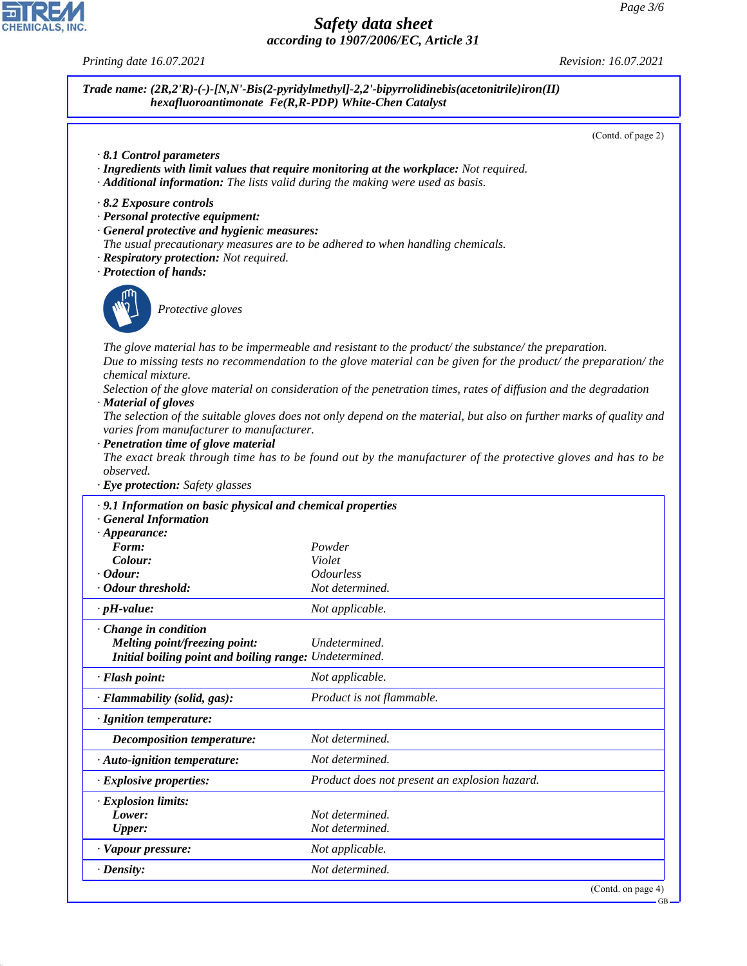



44.1.1

*Printing date 16.07.2021 Revision: 16.07.2021*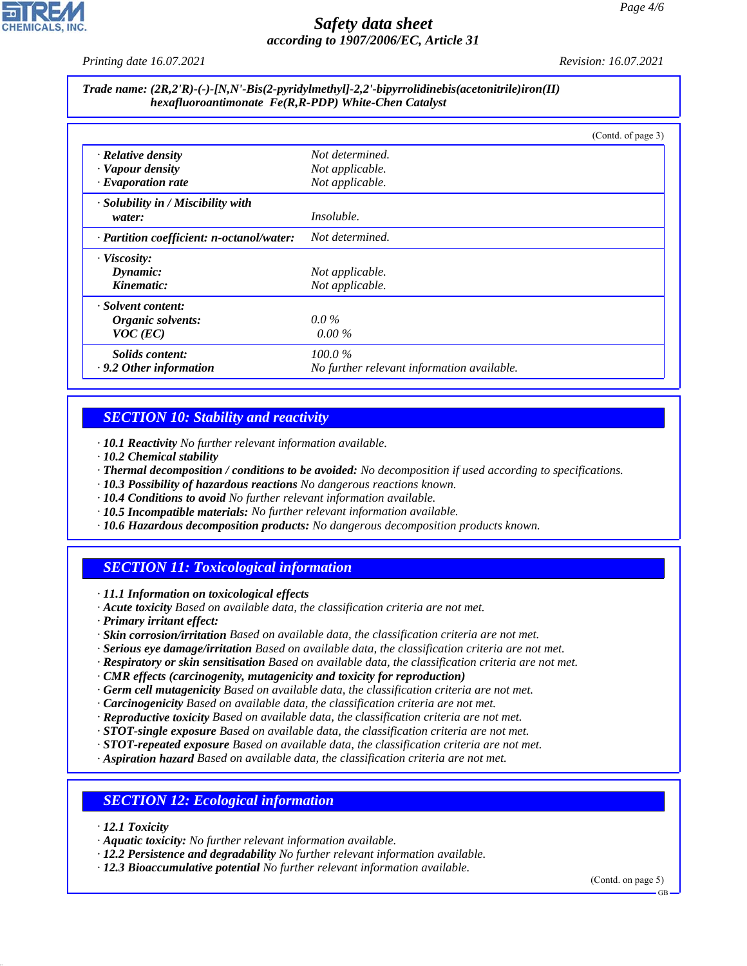*Printing date 16.07.2021 Revision: 16.07.2021*

#### *Trade name: (2R,2'R)-(-)-[N,N'-Bis(2-pyridylmethyl]-2,2'-bipyrrolidinebis(acetonitrile)iron(II) hexafluoroantimonate Fe(R,R-PDP) White-Chen Catalyst*

|                                           | (Contd. of page 3)                         |
|-------------------------------------------|--------------------------------------------|
| $\cdot$ Relative density                  | Not determined.                            |
| · Vapour density                          | Not applicable.                            |
| $\cdot$ Evaporation rate                  | Not applicable.                            |
| · Solubility in / Miscibility with        |                                            |
| water:                                    | <i>Insoluble.</i>                          |
| · Partition coefficient: n-octanol/water: | Not determined.                            |
| · Viscosity:                              |                                            |
| Dynamic:                                  | Not applicable.                            |
| Kinematic:                                | Not applicable.                            |
| · Solvent content:                        |                                            |
| Organic solvents:                         | $0.0\%$                                    |
| $VOC$ (EC)                                | $0.00\%$                                   |
| Solids content:                           | $100.0\%$                                  |
| $\cdot$ 9.2 Other information             | No further relevant information available. |

# *SECTION 10: Stability and reactivity*

*· 10.1 Reactivity No further relevant information available.*

- *· 10.2 Chemical stability*
- *· Thermal decomposition / conditions to be avoided: No decomposition if used according to specifications.*
- *· 10.3 Possibility of hazardous reactions No dangerous reactions known.*
- *· 10.4 Conditions to avoid No further relevant information available.*
- *· 10.5 Incompatible materials: No further relevant information available.*
- *· 10.6 Hazardous decomposition products: No dangerous decomposition products known.*

# *SECTION 11: Toxicological information*

*· 11.1 Information on toxicological effects*

- *· Acute toxicity Based on available data, the classification criteria are not met.*
- *· Primary irritant effect:*
- *· Skin corrosion/irritation Based on available data, the classification criteria are not met.*
- *· Serious eye damage/irritation Based on available data, the classification criteria are not met.*
- *· Respiratory or skin sensitisation Based on available data, the classification criteria are not met.*
- *· CMR effects (carcinogenity, mutagenicity and toxicity for reproduction)*
- *· Germ cell mutagenicity Based on available data, the classification criteria are not met.*
- *· Carcinogenicity Based on available data, the classification criteria are not met.*
- *· Reproductive toxicity Based on available data, the classification criteria are not met.*
- *· STOT-single exposure Based on available data, the classification criteria are not met.*
- *· STOT-repeated exposure Based on available data, the classification criteria are not met.*
- *· Aspiration hazard Based on available data, the classification criteria are not met.*

# *SECTION 12: Ecological information*

*· 12.1 Toxicity*

44.1.1

- *· Aquatic toxicity: No further relevant information available.*
- *· 12.2 Persistence and degradability No further relevant information available.*
- *· 12.3 Bioaccumulative potential No further relevant information available.*

(Contd. on page 5)

GB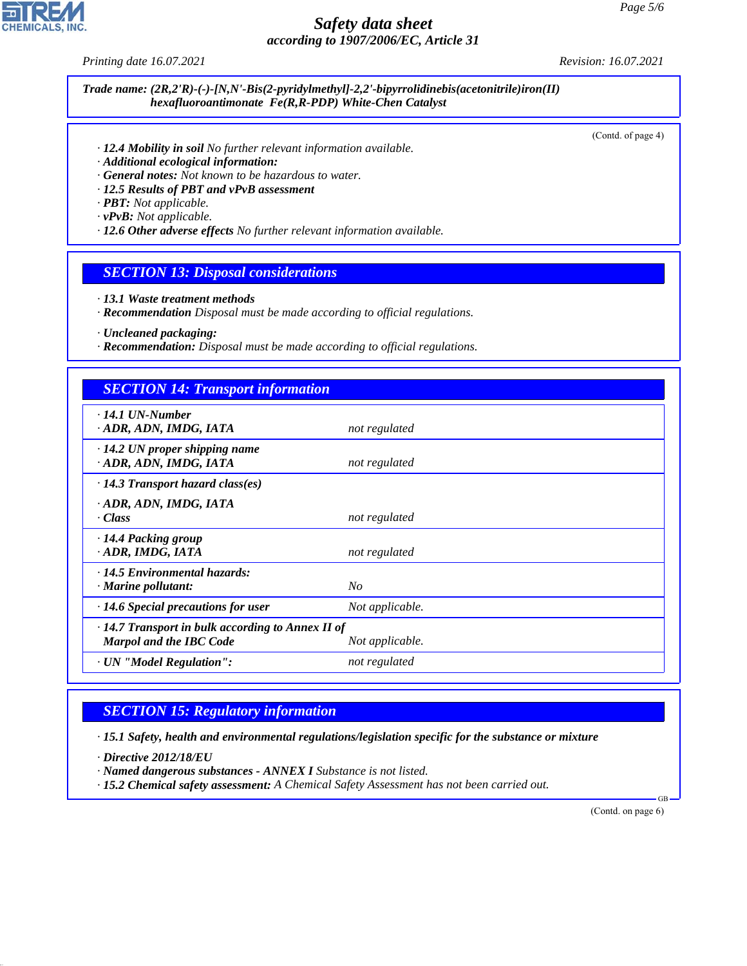*Printing date 16.07.2021 Revision: 16.07.2021*

**CHEMICALS, INC** 

#### *Trade name: (2R,2'R)-(-)-[N,N'-Bis(2-pyridylmethyl]-2,2'-bipyrrolidinebis(acetonitrile)iron(II) hexafluoroantimonate Fe(R,R-PDP) White-Chen Catalyst*

(Contd. of page 4)

- *· 12.4 Mobility in soil No further relevant information available.*
- *· Additional ecological information:*
- *· General notes: Not known to be hazardous to water.*
- *· 12.5 Results of PBT and vPvB assessment*
- *· PBT: Not applicable.*

*· vPvB: Not applicable.*

*· 12.6 Other adverse effects No further relevant information available.*

#### *SECTION 13: Disposal considerations*

- *· 13.1 Waste treatment methods*
- *· Recommendation Disposal must be made according to official regulations.*

*· Uncleaned packaging:*

*· Recommendation: Disposal must be made according to official regulations.*

# *SECTION 14: Transport information*

| $\cdot$ 14.1 UN-Number                                  |                 |  |
|---------------------------------------------------------|-----------------|--|
| · ADR, ADN, IMDG, IATA                                  | not regulated   |  |
|                                                         |                 |  |
| $\cdot$ 14.2 UN proper shipping name                    |                 |  |
| · ADR, ADN, IMDG, IATA                                  | not regulated   |  |
|                                                         |                 |  |
| $\cdot$ 14.3 Transport hazard class(es)                 |                 |  |
| · ADR, ADN, IMDG, IATA                                  |                 |  |
| · Class                                                 |                 |  |
|                                                         | not regulated   |  |
| · 14.4 Packing group                                    |                 |  |
| · ADR, IMDG, IATA                                       | not regulated   |  |
|                                                         |                 |  |
| $\cdot$ 14.5 Environmental hazards:                     |                 |  |
| $\cdot$ Marine pollutant:                               | No              |  |
|                                                         |                 |  |
| $\cdot$ 14.6 Special precautions for user               | Not applicable. |  |
|                                                         |                 |  |
| $\cdot$ 14.7 Transport in bulk according to Annex II of |                 |  |
| <b>Marpol and the IBC Code</b>                          | Not applicable. |  |
| · UN "Model Regulation":                                | not regulated   |  |
|                                                         |                 |  |

# *SECTION 15: Regulatory information*

*· 15.1 Safety, health and environmental regulations/legislation specific for the substance or mixture*

*· Directive 2012/18/EU*

44.1.1

*· Named dangerous substances - ANNEX I Substance is not listed.*

*· 15.2 Chemical safety assessment: A Chemical Safety Assessment has not been carried out.*

(Contd. on page 6)

GB